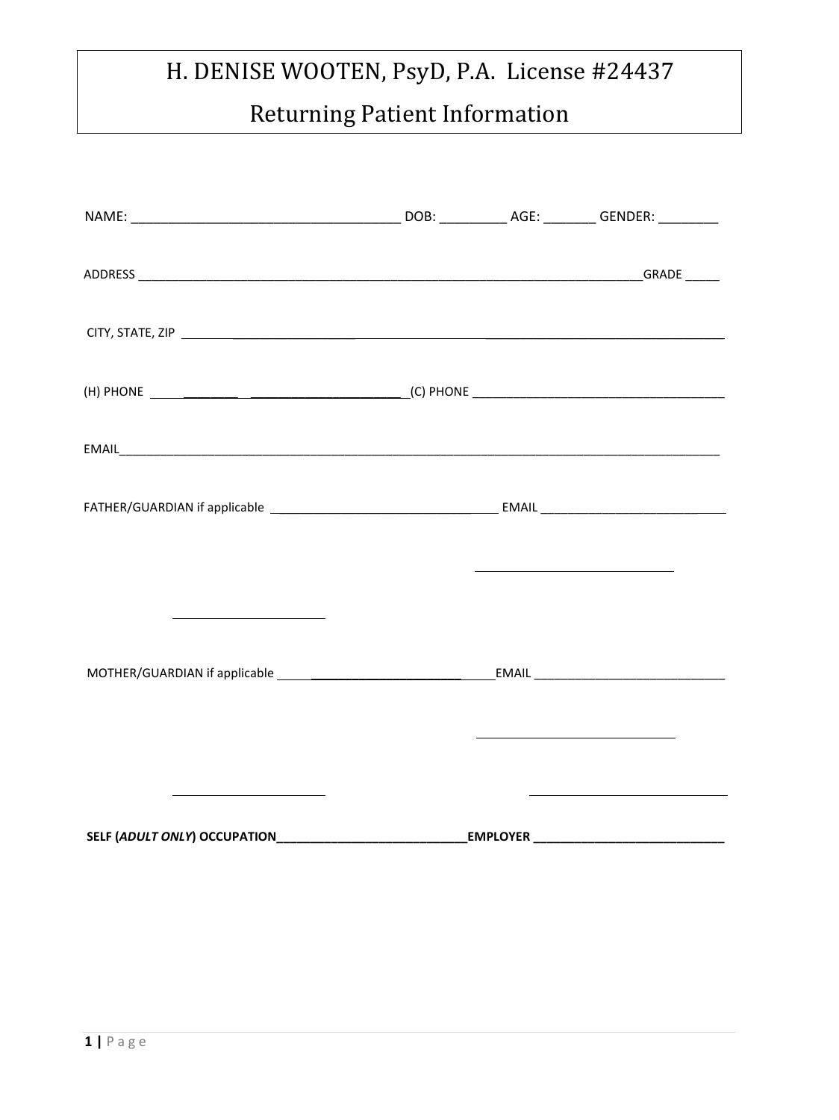# Returning Patient Information

|                                         | <u> The Communication of the Communication of the Communication of the Communication of the Communication of</u> |  |
|-----------------------------------------|------------------------------------------------------------------------------------------------------------------|--|
| <u> 1989 - Johann Barbara, martin a</u> |                                                                                                                  |  |
|                                         |                                                                                                                  |  |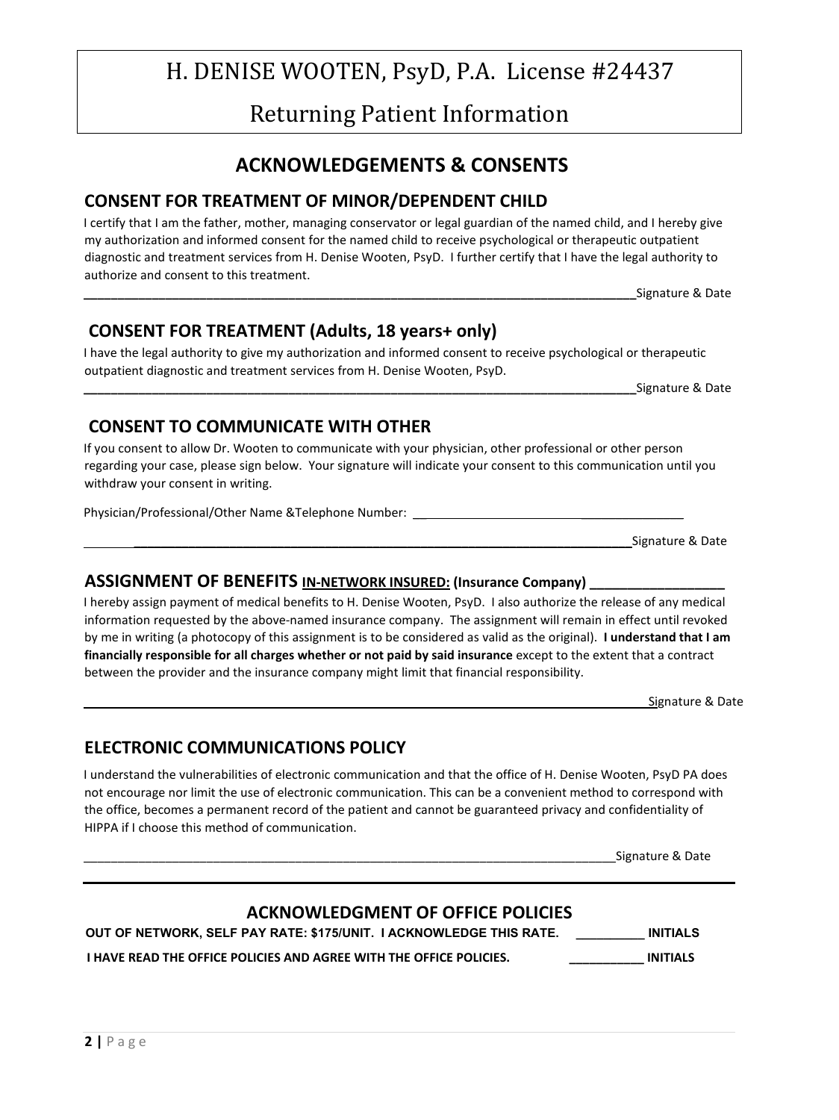Returning Patient Information

### **ACKNOWLEDGEMENTS & CONSENTS**

### **CONSENT FOR TREATMENT OF MINOR/DEPENDENT CHILD**

I certify that I am the father, mother, managing conservator or legal guardian of the named child, and I hereby give my authorization and informed consent for the named child to receive psychological or therapeutic outpatient diagnostic and treatment services from H. Denise Wooten, PsyD. I further certify that I have the legal authority to authorize and consent to this treatment.

Signature & Date

### **CONSENT FOR TREATMENT (Adults, 18 years+ only)**

I have the legal authority to give my authorization and informed consent to receive psychological or therapeutic outpatient diagnostic and treatment services from H. Denise Wooten, PsyD.

Signature & Date

### **CONSENT TO COMMUNICATE WITH OTHER**

If you consent to allow Dr. Wooten to communicate with your physician, other professional or other person regarding your case, please sign below. Your signature will indicate your consent to this communication until you withdraw your consent in writing.

Physician/Professional/Other Name &Telephone Number: \_\_\_\_\_\_\_\_\_\_\_\_\_\_\_\_\_\_\_\_\_\_\_\_\_\_\_

#### **ASSIGNMENT OF BENEFITS IN-NETWORK INSURED: (Insurance Company) \_\_\_\_\_\_\_\_\_\_\_\_\_\_\_\_\_\_**

I hereby assign payment of medical benefits to H. Denise Wooten, PsyD. I also authorize the release of any medical information requested by the above-named insurance company. The assignment will remain in effect until revoked by me in writing (a photocopy of this assignment is to be considered as valid as the original). **I understand that I am financially responsible for all charges whether or not paid by said insurance** except to the extent that a contract between the provider and the insurance company might limit that financial responsibility.

Signature & Date

### **ELECTRONIC COMMUNICATIONS POLICY**

I understand the vulnerabilities of electronic communication and that the office of H. Denise Wooten, PsyD PA does not encourage nor limit the use of electronic communication. This can be a convenient method to correspond with the office, becomes a permanent record of the patient and cannot be guaranteed privacy and confidentiality of HIPPA if I choose this method of communication.

#### **ACKNOWLEDGMENT OF OFFICE POLICIES**

**OUT OF NETWORK, SELF PAY RATE: \$175/UNIT. I ACKNOWLEDGE THIS RATE. \_\_\_\_\_\_\_\_\_\_ INITIALS** 

**I HAVE READ THE OFFICE POLICIES AND AGREE WITH THE OFFICE POLICIES. THE POLICIES INITIALS** 

Signature & Date

Signature & Date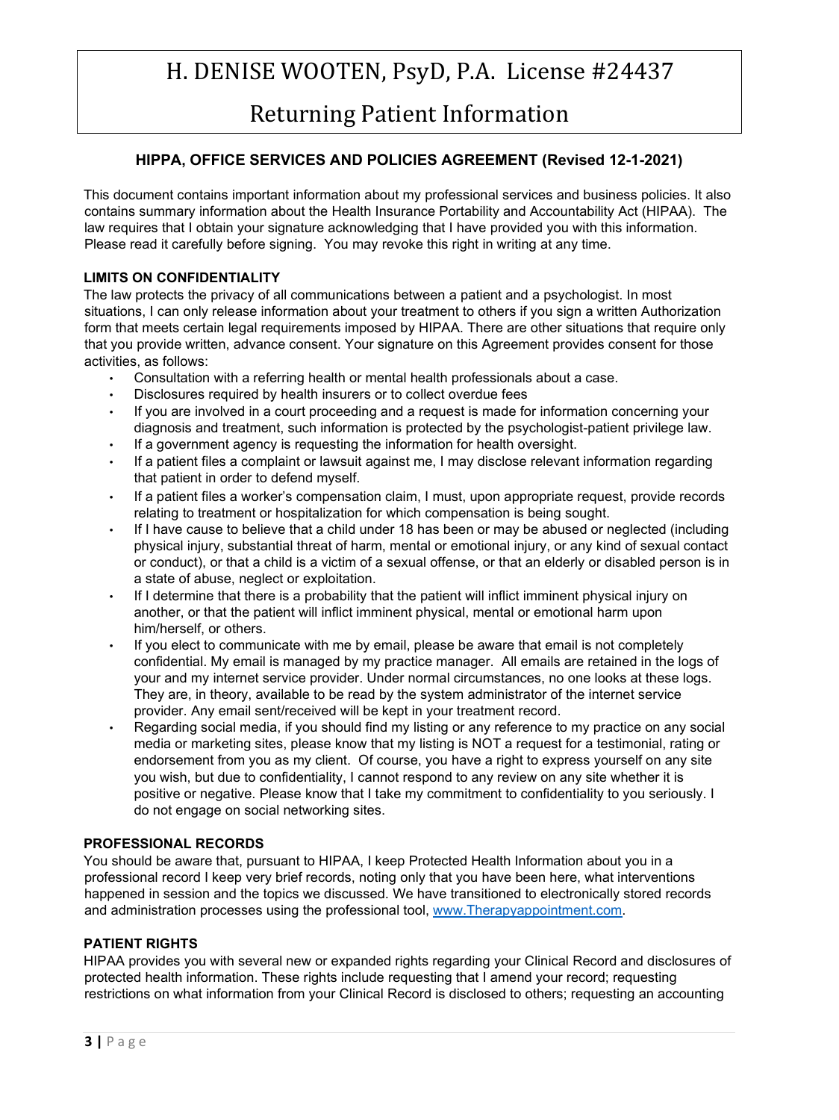### Returning Patient Information

#### **HIPPA, OFFICE SERVICES AND POLICIES AGREEMENT (Revised 12-1-2021)**

This document contains important information about my professional services and business policies. It also contains summary information about the Health Insurance Portability and Accountability Act (HIPAA). The law requires that I obtain your signature acknowledging that I have provided you with this information. Please read it carefully before signing. You may revoke this right in writing at any time.

#### **LIMITS ON CONFIDENTIALITY**

The law protects the privacy of all communications between a patient and a psychologist. In most situations, I can only release information about your treatment to others if you sign a written Authorization form that meets certain legal requirements imposed by HIPAA. There are other situations that require only that you provide written, advance consent. Your signature on this Agreement provides consent for those activities, as follows:

- Consultation with a referring health or mental health professionals about a case.
- Disclosures required by health insurers or to collect overdue fees
- If you are involved in a court proceeding and a request is made for information concerning your diagnosis and treatment, such information is protected by the psychologist-patient privilege law.
- If a government agency is requesting the information for health oversight.
- If a patient files a complaint or lawsuit against me, I may disclose relevant information regarding that patient in order to defend myself.
- If a patient files a worker's compensation claim, I must, upon appropriate request, provide records relating to treatment or hospitalization for which compensation is being sought.
- If I have cause to believe that a child under 18 has been or may be abused or neglected (including physical injury, substantial threat of harm, mental or emotional injury, or any kind of sexual contact or conduct), or that a child is a victim of a sexual offense, or that an elderly or disabled person is in a state of abuse, neglect or exploitation.
- If I determine that there is a probability that the patient will inflict imminent physical injury on another, or that the patient will inflict imminent physical, mental or emotional harm upon him/herself, or others.
- If you elect to communicate with me by email, please be aware that email is not completely confidential. My email is managed by my practice manager. All emails are retained in the logs of your and my internet service provider. Under normal circumstances, no one looks at these logs. They are, in theory, available to be read by the system administrator of the internet service provider. Any email sent/received will be kept in your treatment record.
- Regarding social media, if you should find my listing or any reference to my practice on any social media or marketing sites, please know that my listing is NOT a request for a testimonial, rating or endorsement from you as my client. Of course, you have a right to express yourself on any site you wish, but due to confidentiality, I cannot respond to any review on any site whether it is positive or negative. Please know that I take my commitment to confidentiality to you seriously. I do not engage on social networking sites.

#### **PROFESSIONAL RECORDS**

You should be aware that, pursuant to HIPAA, I keep Protected Health Information about you in a professional record I keep very brief records, noting only that you have been here, what interventions happened in session and the topics we discussed. We have transitioned to electronically stored records and administration processes using the professional tool, [www.Therapyappointment.com.](http://www.therapyappointment.com/) 

#### **PATIENT RIGHTS**

HIPAA provides you with several new or expanded rights regarding your Clinical Record and disclosures of protected health information. These rights include requesting that I amend your record; requesting restrictions on what information from your Clinical Record is disclosed to others; requesting an accounting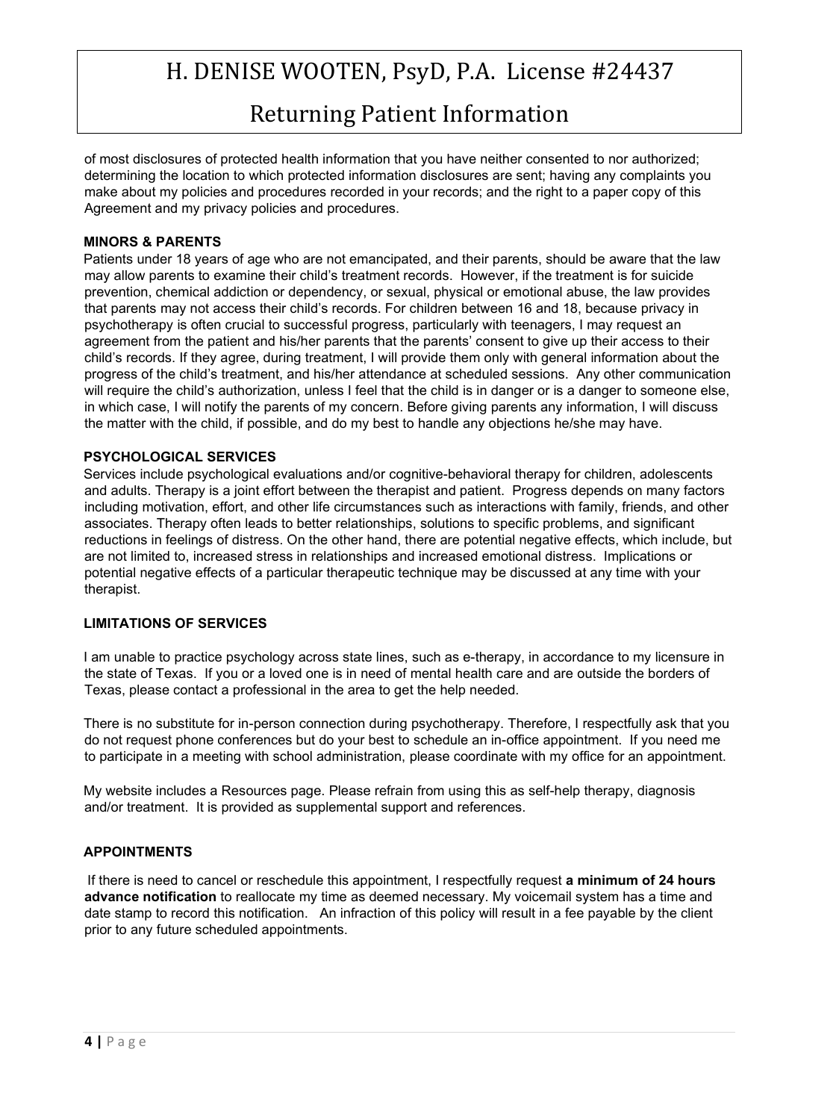Returning Patient Information

of most disclosures of protected health information that you have neither consented to nor authorized; determining the location to which protected information disclosures are sent; having any complaints you make about my policies and procedures recorded in your records; and the right to a paper copy of this Agreement and my privacy policies and procedures.

#### **MINORS & PARENTS**

Patients under 18 years of age who are not emancipated, and their parents, should be aware that the law may allow parents to examine their child's treatment records. However, if the treatment is for suicide prevention, chemical addiction or dependency, or sexual, physical or emotional abuse, the law provides that parents may not access their child's records. For children between 16 and 18, because privacy in psychotherapy is often crucial to successful progress, particularly with teenagers, I may request an agreement from the patient and his/her parents that the parents' consent to give up their access to their child's records. If they agree, during treatment, I will provide them only with general information about the progress of the child's treatment, and his/her attendance at scheduled sessions. Any other communication will require the child's authorization, unless I feel that the child is in danger or is a danger to someone else, in which case, I will notify the parents of my concern. Before giving parents any information, I will discuss the matter with the child, if possible, and do my best to handle any objections he/she may have.

#### **PSYCHOLOGICAL SERVICES**

Services include psychological evaluations and/or cognitive-behavioral therapy for children, adolescents and adults. Therapy is a joint effort between the therapist and patient. Progress depends on many factors including motivation, effort, and other life circumstances such as interactions with family, friends, and other associates. Therapy often leads to better relationships, solutions to specific problems, and significant reductions in feelings of distress. On the other hand, there are potential negative effects, which include, but are not limited to, increased stress in relationships and increased emotional distress. Implications or potential negative effects of a particular therapeutic technique may be discussed at any time with your therapist.

#### **LIMITATIONS OF SERVICES**

I am unable to practice psychology across state lines, such as e-therapy, in accordance to my licensure in the state of Texas. If you or a loved one is in need of mental health care and are outside the borders of Texas, please contact a professional in the area to get the help needed.

There is no substitute for in-person connection during psychotherapy. Therefore, I respectfully ask that you do not request phone conferences but do your best to schedule an in-office appointment. If you need me to participate in a meeting with school administration, please coordinate with my office for an appointment.

My website includes a Resources page. Please refrain from using this as self-help therapy, diagnosis and/or treatment. It is provided as supplemental support and references.

#### **APPOINTMENTS**

If there is need to cancel or reschedule this appointment, I respectfully request **a minimum of 24 hours advance notification** to reallocate my time as deemed necessary. My voicemail system has a time and date stamp to record this notification. An infraction of this policy will result in a fee payable by the client prior to any future scheduled appointments.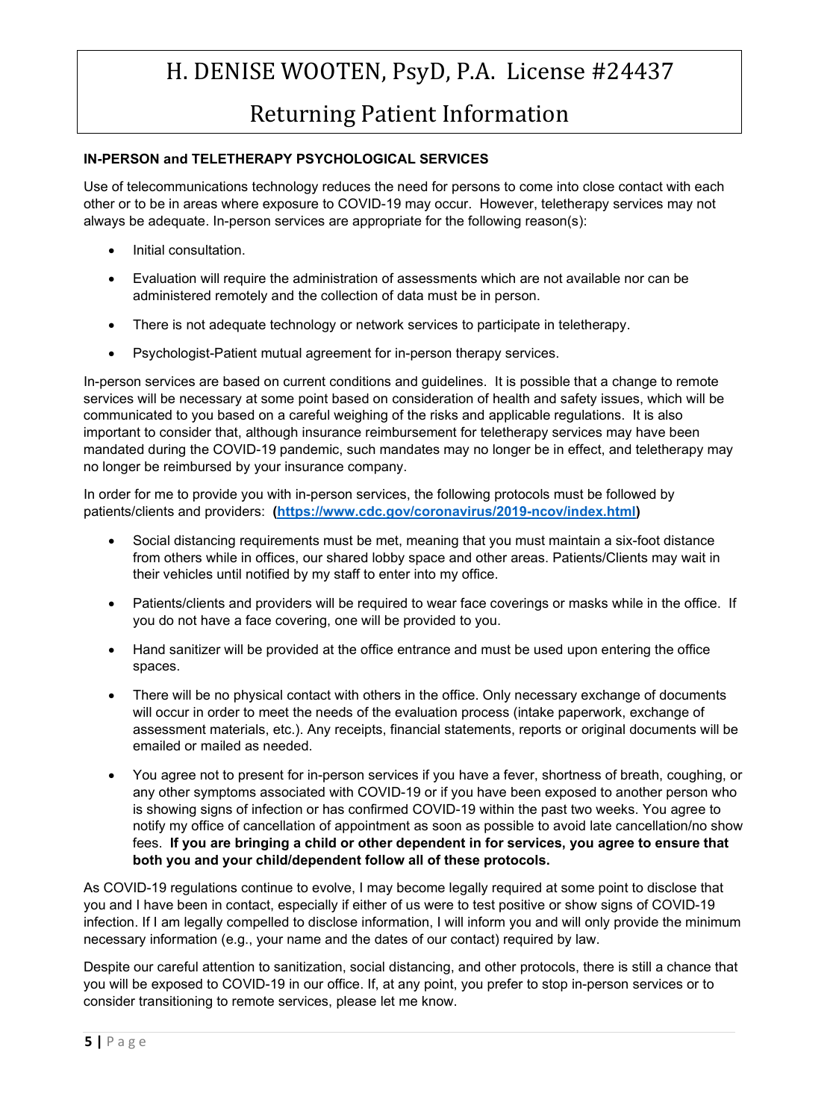### Returning Patient Information

#### **IN-PERSON and TELETHERAPY PSYCHOLOGICAL SERVICES**

Use of telecommunications technology reduces the need for persons to come into close contact with each other or to be in areas where exposure to COVID-19 may occur. However, teletherapy services may not always be adequate. In-person services are appropriate for the following reason(s):

- Initial consultation.
- Evaluation will require the administration of assessments which are not available nor can be administered remotely and the collection of data must be in person.
- There is not adequate technology or network services to participate in teletherapy.
- Psychologist-Patient mutual agreement for in-person therapy services.

In-person services are based on current conditions and guidelines. It is possible that a change to remote services will be necessary at some point based on consideration of health and safety issues, which will be communicated to you based on a careful weighing of the risks and applicable regulations. It is also important to consider that, although insurance reimbursement for teletherapy services may have been mandated during the COVID-19 pandemic, such mandates may no longer be in effect, and teletherapy may no longer be reimbursed by your insurance company.

In order for me to provide you with in-person services, the following protocols must be followed by patients/clients and providers: **[\(https://www.cdc.gov/coronavirus/2019-ncov/index.html\)](https://www.cdc.gov/coronavirus/2019-ncov/index.html)**

- Social distancing requirements must be met, meaning that you must maintain a six-foot distance from others while in offices, our shared lobby space and other areas. Patients/Clients may wait in their vehicles until notified by my staff to enter into my office.
- Patients/clients and providers will be required to wear face coverings or masks while in the office. If you do not have a face covering, one will be provided to you.
- Hand sanitizer will be provided at the office entrance and must be used upon entering the office spaces.
- There will be no physical contact with others in the office. Only necessary exchange of documents will occur in order to meet the needs of the evaluation process (intake paperwork, exchange of assessment materials, etc.). Any receipts, financial statements, reports or original documents will be emailed or mailed as needed.
- You agree not to present for in-person services if you have a fever, shortness of breath, coughing, or any other symptoms associated with COVID-19 or if you have been exposed to another person who is showing signs of infection or has confirmed COVID-19 within the past two weeks. You agree to notify my office of cancellation of appointment as soon as possible to avoid late cancellation/no show fees. **If you are bringing a child or other dependent in for services, you agree to ensure that both you and your child/dependent follow all of these protocols.**

As COVID-19 regulations continue to evolve, I may become legally required at some point to disclose that you and I have been in contact, especially if either of us were to test positive or show signs of COVID-19 infection. If I am legally compelled to disclose information, I will inform you and will only provide the minimum necessary information (e.g., your name and the dates of our contact) required by law.

Despite our careful attention to sanitization, social distancing, and other protocols, there is still a chance that you will be exposed to COVID-19 in our office. If, at any point, you prefer to stop in-person services or to consider transitioning to remote services, please let me know.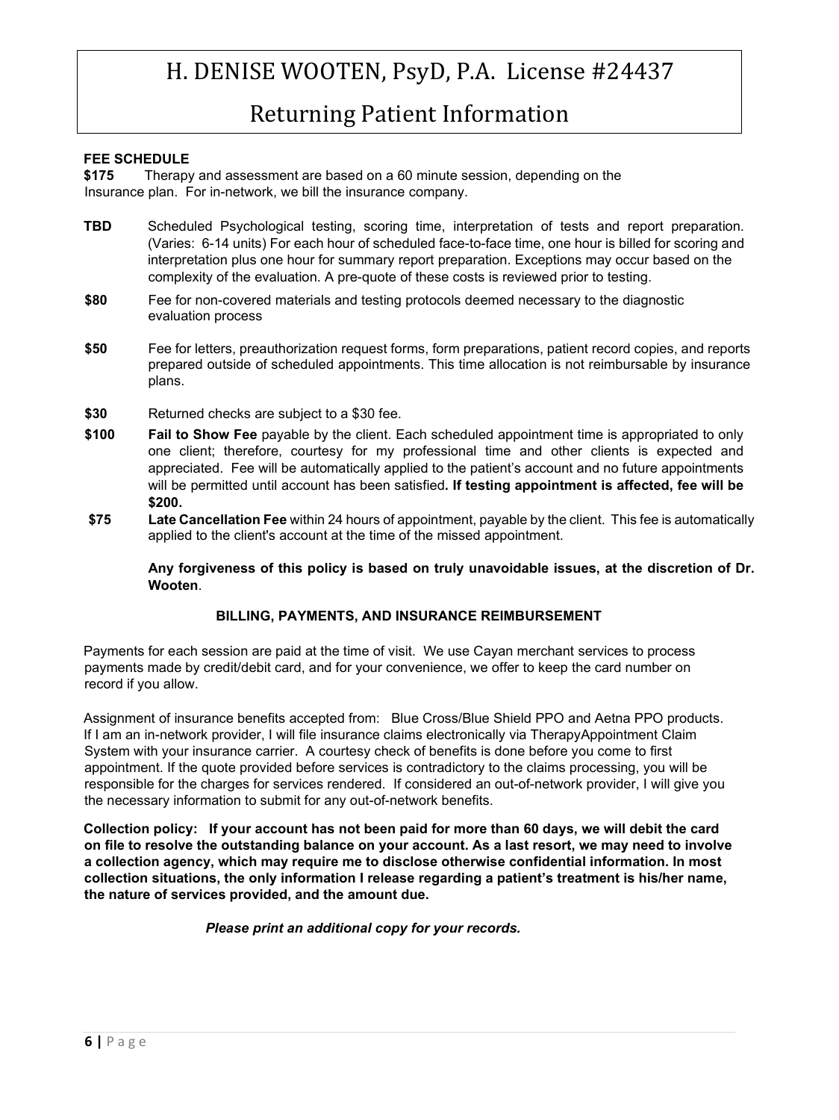### Returning Patient Information

#### **FEE SCHEDULE**

**\$175** Therapy and assessment are based on a 60 minute session, depending on the Insurance plan. For in-network, we bill the insurance company.

- **TBD** Scheduled Psychological testing, scoring time, interpretation of tests and report preparation. (Varies: 6-14 units) For each hour of scheduled face-to-face time, one hour is billed for scoring and interpretation plus one hour for summary report preparation. Exceptions may occur based on the complexity of the evaluation. A pre-quote of these costs is reviewed prior to testing.
- **\$80** Fee for non-covered materials and testing protocols deemed necessary to the diagnostic evaluation process
- **\$50** Fee for letters, preauthorization request forms, form preparations, patient record copies, and reports prepared outside of scheduled appointments. This time allocation is not reimbursable by insurance plans.
- **\$30** Returned checks are subject to a \$30 fee.
- **\$100 Fail to Show Fee** payable by the client. Each scheduled appointment time is appropriated to only one client; therefore, courtesy for my professional time and other clients is expected and appreciated. Fee will be automatically applied to the patient's account and no future appointments will be permitted until account has been satisfied**. If testing appointment is affected, fee will be \$200.**
- **\$75 Late Cancellation Fee** within 24 hours of appointment, payable by the client. This fee is automatically applied to the client's account at the time of the missed appointment.

**Any forgiveness of this policy is based on truly unavoidable issues, at the discretion of Dr. Wooten**.

#### **BILLING, PAYMENTS, AND INSURANCE REIMBURSEMENT**

Payments for each session are paid at the time of visit. We use Cayan merchant services to process payments made by credit/debit card, and for your convenience, we offer to keep the card number on record if you allow.

Assignment of insurance benefits accepted from: Blue Cross/Blue Shield PPO and Aetna PPO products. If I am an in-network provider, I will file insurance claims electronically via [TherapyAppointment](http://www.officeally.com/) [C](http://www.officeally.com/)laim System with your insurance carrier. A courtesy check of benefits is done before you come to first appointment. If the quote provided before services is contradictory to the claims processing, you will be responsible for the charges for services rendered. If considered an out-of-network provider, I will give you the necessary information to submit for any out-of-network benefits.

**Collection policy: If your account has not been paid for more than 60 days, we will debit the card on file to resolve the outstanding balance on your account. As a last resort, we may need to involve a collection agency, which may require me to disclose otherwise confidential information. In most collection situations, the only information I release regarding a patient's treatment is his/her name, the nature of services provided, and the amount due.** 

*Please print an additional copy for your records.*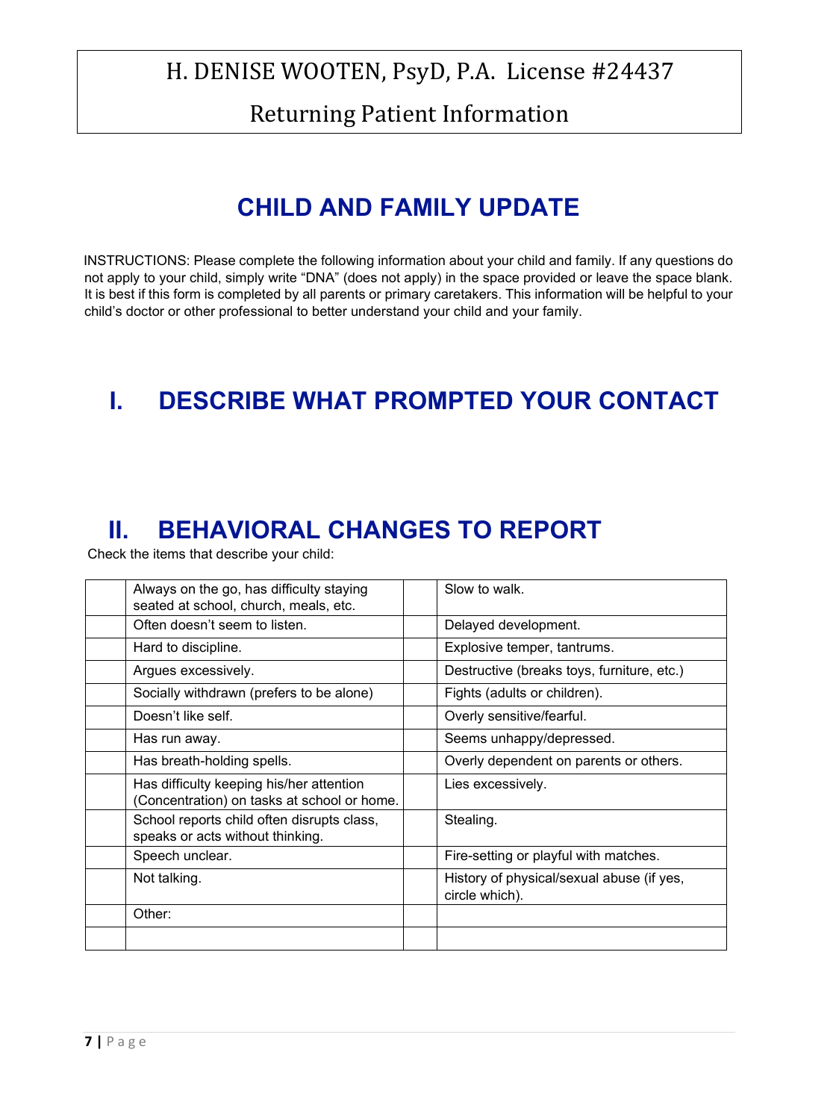Returning Patient Information

# **CHILD AND FAMILY UPDATE**

INSTRUCTIONS: Please complete the following information about your child and family. If any questions do not apply to your child, simply write "DNA" (does not apply) in the space provided or leave the space blank. It is best if this form is completed by all parents or primary caretakers. This information will be helpful to your child's doctor or other professional to better understand your child and your family.

# **I. DESCRIBE WHAT PROMPTED YOUR CONTACT**

## **II. BEHAVIORAL CHANGES TO REPORT**

Check the items that describe your child:

| Always on the go, has difficulty staying                                       | Slow to walk.        |                                            |
|--------------------------------------------------------------------------------|----------------------|--------------------------------------------|
| seated at school, church, meals, etc.                                          |                      |                                            |
| Often doesn't seem to listen.                                                  | Delayed development. |                                            |
| Hard to discipline.                                                            |                      | Explosive temper, tantrums.                |
| Argues excessively.                                                            |                      | Destructive (breaks toys, furniture, etc.) |
| Socially withdrawn (prefers to be alone)                                       |                      | Fights (adults or children).               |
| Doesn't like self.                                                             |                      | Overly sensitive/fearful.                  |
| Has run away.                                                                  |                      | Seems unhappy/depressed.                   |
| Has breath-holding spells.                                                     |                      | Overly dependent on parents or others.     |
| Has difficulty keeping his/her attention                                       | Lies excessively.    |                                            |
| (Concentration) on tasks at school or home.                                    |                      |                                            |
| School reports child often disrupts class,<br>speaks or acts without thinking. | Stealing.            |                                            |
| Speech unclear.                                                                |                      | Fire-setting or playful with matches.      |
| Not talking.                                                                   | circle which).       | History of physical/sexual abuse (if yes,  |
| Other:                                                                         |                      |                                            |
|                                                                                |                      |                                            |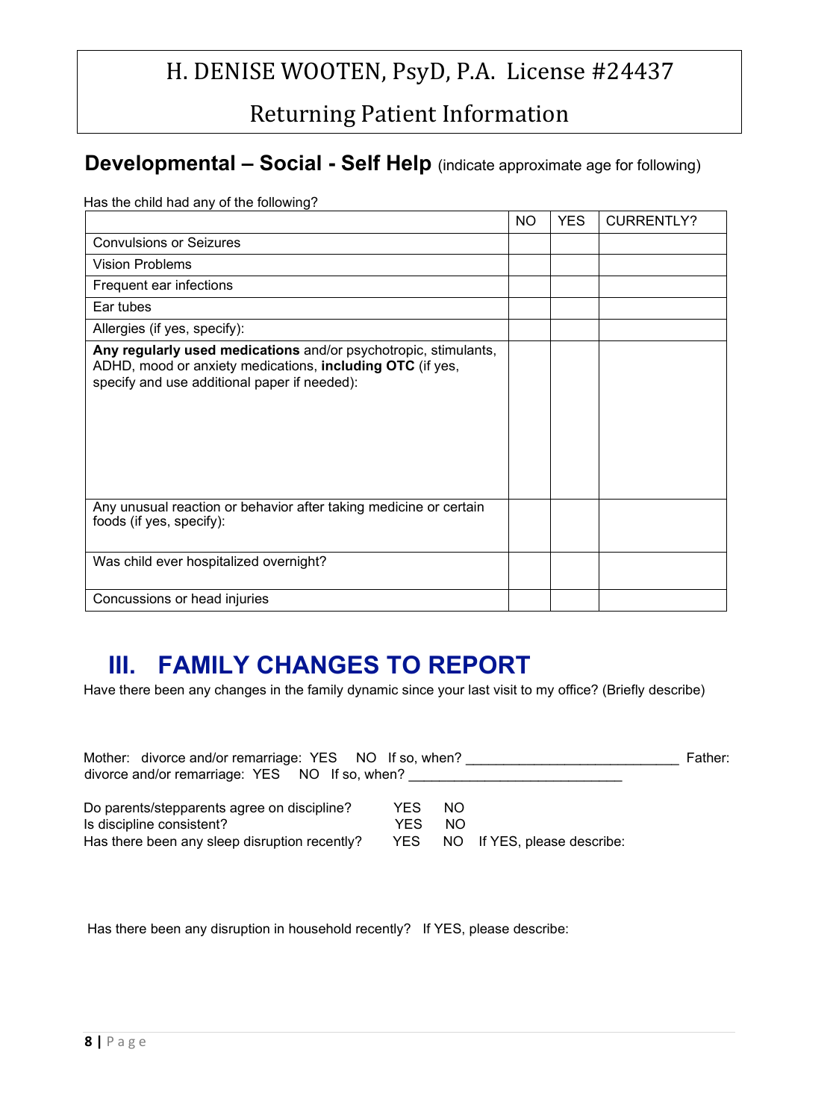Returning Patient Information

### **Developmental – Social - Self Help** (indicate approximate age for following)

Has the child had any of the following?

|                                                                                                                                                                              | NO. | <b>YES</b> | <b>CURRENTLY?</b> |
|------------------------------------------------------------------------------------------------------------------------------------------------------------------------------|-----|------------|-------------------|
| <b>Convulsions or Seizures</b>                                                                                                                                               |     |            |                   |
| <b>Vision Problems</b>                                                                                                                                                       |     |            |                   |
| Frequent ear infections                                                                                                                                                      |     |            |                   |
| Ear tubes                                                                                                                                                                    |     |            |                   |
| Allergies (if yes, specify):                                                                                                                                                 |     |            |                   |
| Any regularly used medications and/or psychotropic, stimulants,<br>ADHD, mood or anxiety medications, including OTC (if yes,<br>specify and use additional paper if needed): |     |            |                   |
| Any unusual reaction or behavior after taking medicine or certain<br>foods (if yes, specify):                                                                                |     |            |                   |
| Was child ever hospitalized overnight?                                                                                                                                       |     |            |                   |
| Concussions or head injuries                                                                                                                                                 |     |            |                   |

### **III. FAMILY CHANGES TO REPORT**

Have there been any changes in the family dynamic since your last visit to my office? (Briefly describe)

| Mother: divorce and/or remarriage: YES NO If so, when?<br>divorce and/or remarriage: YES NO If so, when?                  |              |            |                                 | Father: |
|---------------------------------------------------------------------------------------------------------------------------|--------------|------------|---------------------------------|---------|
| Do parents/stepparents agree on discipline?<br>Is discipline consistent?<br>Has there been any sleep disruption recently? | YES.<br>YES. | NO.<br>NO. | YES NO If YES, please describe: |         |

Has there been any disruption in household recently? If YES, please describe: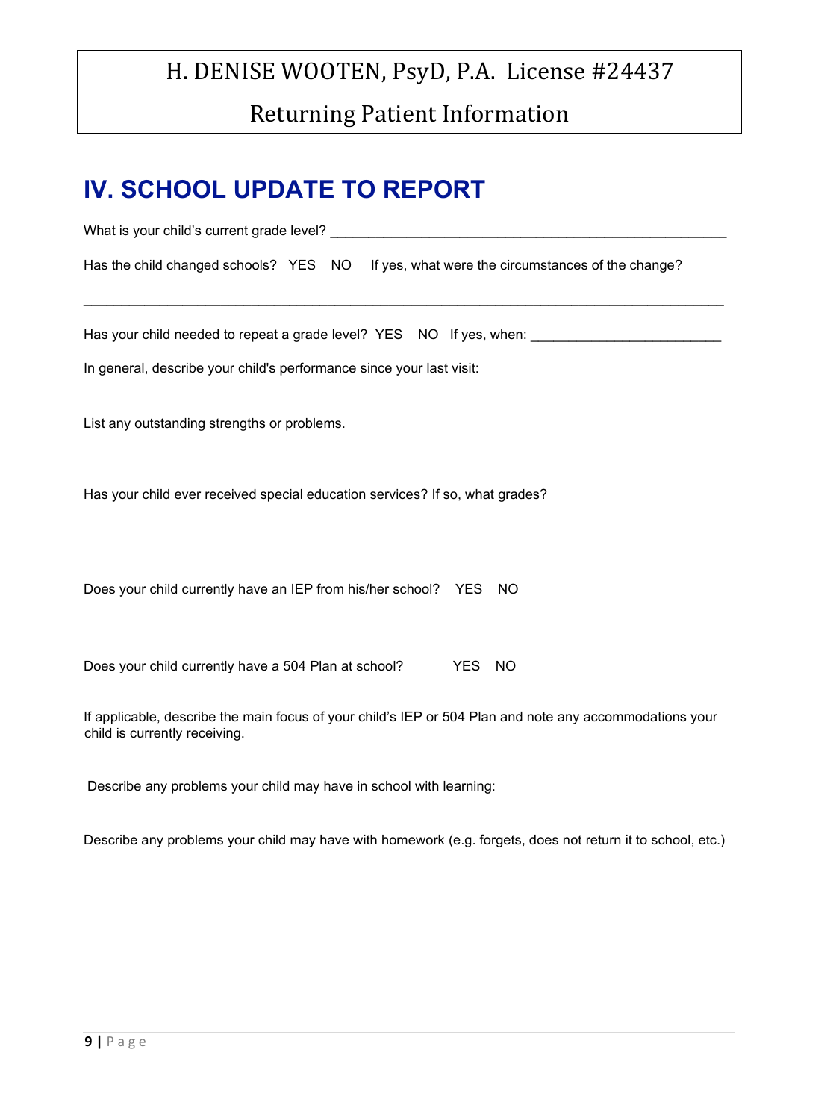# H. DENISE WOOTEN, PsyD, P.A. License #24437 Returning Patient Information

## **IV. SCHOOL UPDATE TO REPORT**

| Has the child changed schools? YES NO If yes, what were the circumstances of the change?                                                 |
|------------------------------------------------------------------------------------------------------------------------------------------|
|                                                                                                                                          |
| Has your child needed to repeat a grade level? YES NO If yes, when:                                                                      |
| In general, describe your child's performance since your last visit:                                                                     |
|                                                                                                                                          |
| List any outstanding strengths or problems.                                                                                              |
|                                                                                                                                          |
| Has your child ever received special education services? If so, what grades?                                                             |
|                                                                                                                                          |
|                                                                                                                                          |
| Does your child currently have an IEP from his/her school? YES NO                                                                        |
|                                                                                                                                          |
|                                                                                                                                          |
| Does your child currently have a 504 Plan at school?<br><b>YES</b><br>NO                                                                 |
|                                                                                                                                          |
| If applicable, describe the main focus of your child's IEP or 504 Plan and note any accommodations your<br>child is currently receiving. |

Describe any problems your child may have in school with learning:

Describe any problems your child may have with homework (e.g. forgets, does not return it to school, etc.)